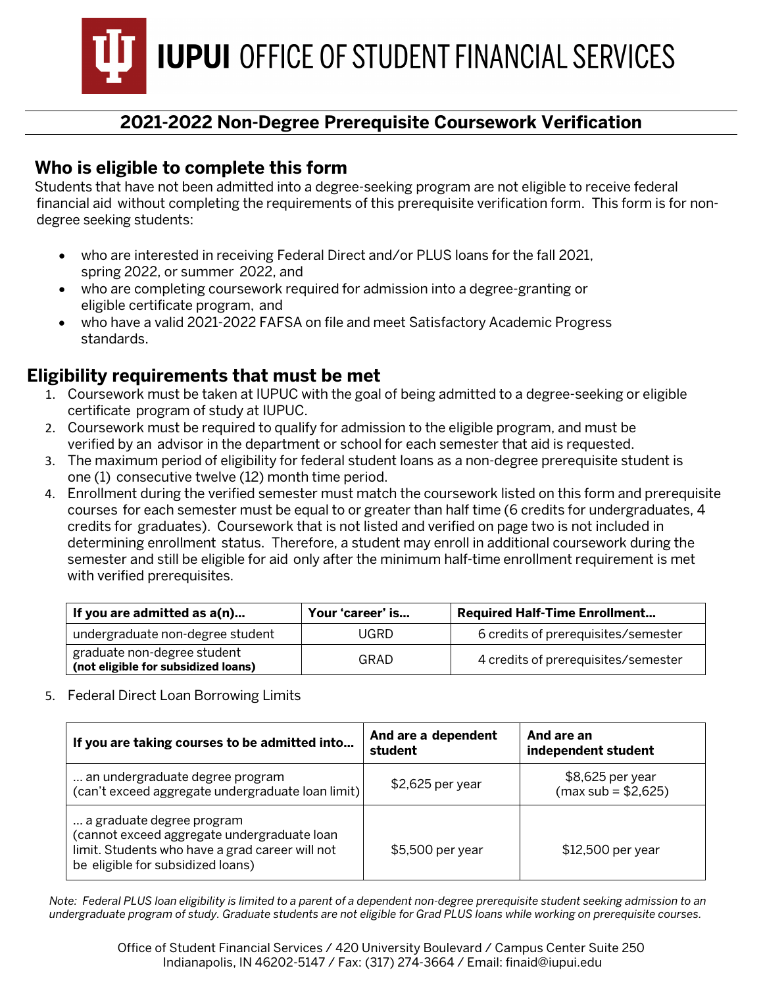**IUPUI** OFFICE OF STUDENT FINANCIAL SERVICES

# **2021-2022 Non-Degree Prerequisite Coursework Verification**

### **Who is eligible to complete this form**

Students that have not been admitted into a degree-seeking program are not eligible to receive federal financial aid without completing the requirements of this prerequisite verification form. This form is for nondegree seeking students:

- who are interested in receiving Federal Direct and/or PLUS loans for the fall 2021, spring 2022, or summer 2022, and
- who are completing coursework required for admission into a degree-granting or eligible certificate program, and
- who have a valid 2021-2022 FAFSA on file and meet Satisfactory Academic Progress standards.

## **Eligibility requirements that must be met**

- 1. Coursework must be taken at IUPUC with the goal of being admitted to a degree-seeking or eligible certificate program of study at IUPUC.
- 2. Coursework must be required to qualify for admission to the eligible program, and must be verified by an advisor in the department or school for each semester that aid is requested.
- 3. The maximum period of eligibility for federal student loans as a non-degree prerequisite student is one (1) consecutive twelve (12) month time period.
- 4. Enrollment during the verified semester must match the coursework listed on this form and prerequisite courses for each semester must be equal to or greater than half time (6 credits for undergraduates, 4 credits for graduates). Coursework that is not listed and verified on page two is not included in determining enrollment status. Therefore, a student may enroll in additional coursework during the semester and still be eligible for aid only after the minimum half-time enrollment requirement is met with verified prerequisites.

| If you are admitted as a(n)                                        | Your 'career' is | <b>Required Half-Time Enrollment</b> |  |
|--------------------------------------------------------------------|------------------|--------------------------------------|--|
| undergraduate non-degree student                                   | <b>JGRD</b>      | 6 credits of prerequisites/semester  |  |
| graduate non-degree student<br>(not eligible for subsidized loans) | GRAD             | 4 credits of prerequisites/semester  |  |

5. Federal Direct Loan Borrowing Limits

| If you are taking courses to be admitted into                                                                                                                    | And are a dependent<br>student | And are an<br>independent student        |
|------------------------------------------------------------------------------------------------------------------------------------------------------------------|--------------------------------|------------------------------------------|
| an undergraduate degree program<br>(can't exceed aggregate undergraduate loan limit)                                                                             | $$2,625$ per year              | \$8,625 per year<br>$(max sub = $2,625)$ |
| a graduate degree program<br>(cannot exceed aggregate undergraduate loan<br>limit. Students who have a grad career will not<br>be eligible for subsidized loans) | \$5,500 per year               | \$12,500 per year                        |

*Note: Federal PLUS loan eligibility is limited to a parent of a dependent non-degree prerequisite student seeking admission to an undergraduate program of study. Graduate students are not eligible for Grad PLUS loans while working on prerequisite courses.*